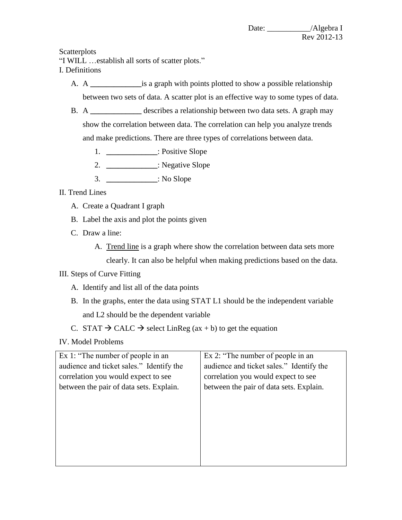**Scatterplots** 

"I WILL …establish all sorts of scatter plots."

- I. Definitions
	- A. A **\_\_\_\_\_\_\_\_\_\_\_\_\_**is a graph with points plotted to show a possible relationship between two sets of data. A scatter plot is an effective way to some types of data.
	- B. A **\_\_\_\_\_\_\_\_\_\_\_\_\_** describes a relationship between two data sets. A graph may show the correlation between data. The correlation can help you analyze trends and make predictions. There are three types of correlations between data.
		- 1. **\_\_\_\_\_\_\_\_\_\_\_\_\_**: Positive Slope
		- 2. **\_\_\_\_\_\_\_\_\_\_\_\_\_**: Negative Slope
		- 3. **\_\_\_\_\_\_\_\_\_\_\_\_\_**: No Slope

## II. Trend Lines

- A. Create a Quadrant I graph
- B. Label the axis and plot the points given
- C. Draw a line:
	- A. Trend line is a graph where show the correlation between data sets more

clearly. It can also be helpful when making predictions based on the data.

- III. Steps of Curve Fitting
	- A. Identify and list all of the data points
	- B. In the graphs, enter the data using STAT L1 should be the independent variable and L2 should be the dependent variable
	- C. STAT  $\rightarrow$  CALC  $\rightarrow$  select LinReg (ax + b) to get the equation
- IV. Model Problems

| Ex 1: "The number of people in an        | Ex 2: "The number of people in an        |
|------------------------------------------|------------------------------------------|
| audience and ticket sales." Identify the | audience and ticket sales." Identify the |
| correlation you would expect to see      | correlation you would expect to see      |
| between the pair of data sets. Explain.  | between the pair of data sets. Explain.  |
|                                          |                                          |
|                                          |                                          |
|                                          |                                          |
|                                          |                                          |
|                                          |                                          |
|                                          |                                          |
|                                          |                                          |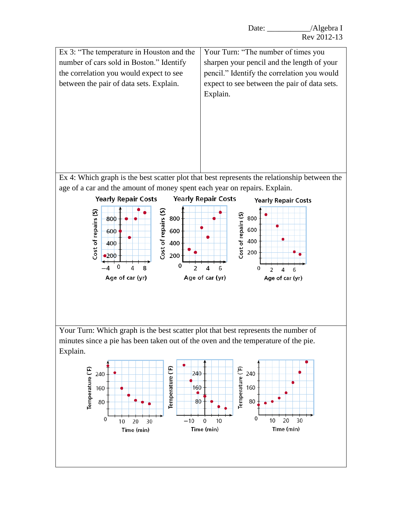